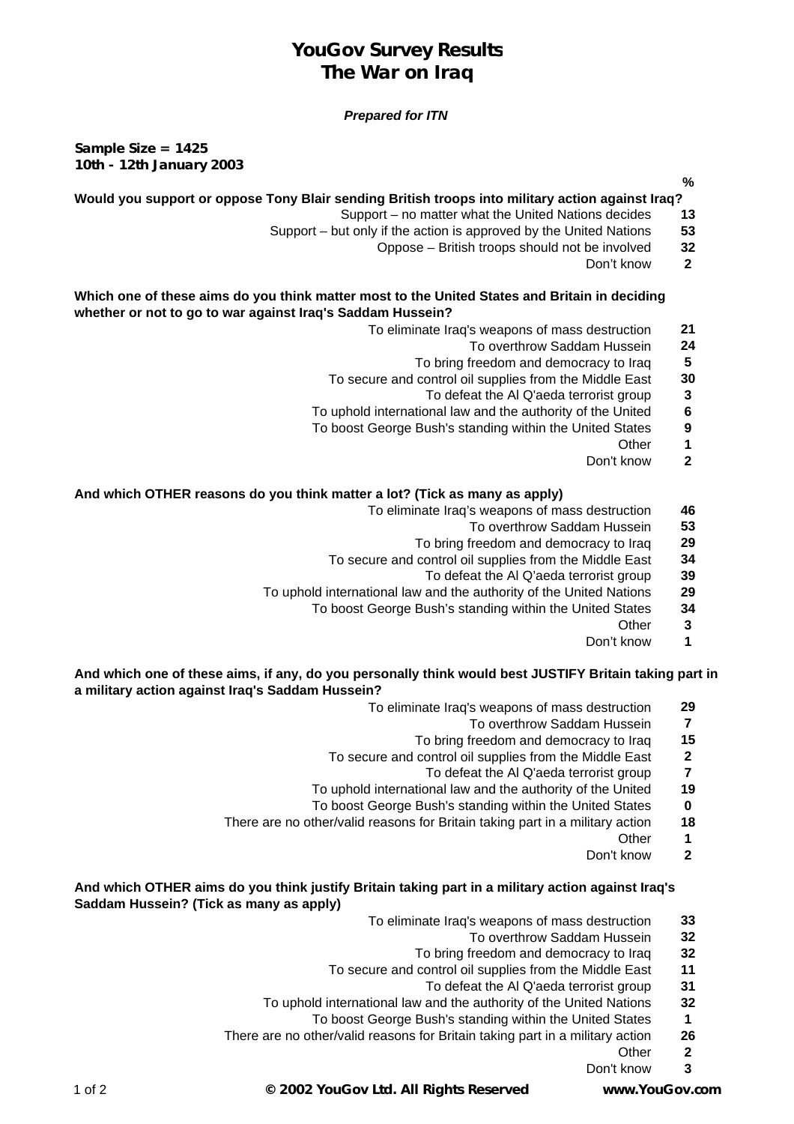# **YouGov Survey Results The War on Iraq**

## *Prepared for ITN*

**Sample Size = 1425 10th - 12th January 2003**

**%**

## **Would you support or oppose Tony Blair sending British troops into military action against Iraq?**

- Support no matter what the United Nations decides **13**
- Support but only if the action is approved by the United Nations **53**
	- Oppose British troops should not be involved **32**
		- Don't know **2**

### **Which one of these aims do you think matter most to the United States and Britain in deciding whether or not to go to war against Iraq's Saddam Hussein?**

- To eliminate Iraq's weapons of mass destruction **21**
	- To overthrow Saddam Hussein **24**
	- To bring freedom and democracy to Iraq **5**
- To secure and control oil supplies from the Middle East **30**
	- To defeat the Al Q'aeda terrorist group **3**
- To uphold international law and the authority of the United **6**
- To boost George Bush's standing within the United States **9**
	- Other **1**
	- Don't know **2**

## **And which OTHER reasons do you think matter a lot? (Tick as many as apply)**

- To eliminate Iraq's weapons of mass destruction **46**
	- To overthrow Saddam Hussein **53**
	- To bring freedom and democracy to Iraq **29**
- To secure and control oil supplies from the Middle East **34**
	- To defeat the Al Q'aeda terrorist group **39**
- To uphold international law and the authority of the United Nations **29**
	- To boost George Bush's standing within the United States **34**
		- Other **3**
		- Don't know **1**

#### **And which one of these aims, if any, do you personally think would best JUSTIFY Britain taking part in a military action against Iraq's Saddam Hussein?**

- To eliminate Iraq's weapons of mass destruction **29**
	- To overthrow Saddam Hussein **7**
	- To bring freedom and democracy to Iraq **15**
- To secure and control oil supplies from the Middle East **2**
	- To defeat the Al Q'aeda terrorist group **7**
- To uphold international law and the authority of the United **19**
- To boost George Bush's standing within the United States **0**
- There are no other/valid reasons for Britain taking part in a military action **18**
	- Other **1**
	- Don't know **2**

# **And which OTHER aims do you think justify Britain taking part in a military action against Iraq's Saddam Hussein? (Tick as many as apply)**

- To eliminate Iraq's weapons of mass destruction **33**
	- To overthrow Saddam Hussein **32**
	- To bring freedom and democracy to Iraq **32**
- To secure and control oil supplies from the Middle East **11**
	- To defeat the Al Q'aeda terrorist group **31**
- To uphold international law and the authority of the United Nations **32**
	- To boost George Bush's standing within the United States **1**
- There are no other/valid reasons for Britain taking part in a military action **26**
	- Other **2**
	- Don't know **3**